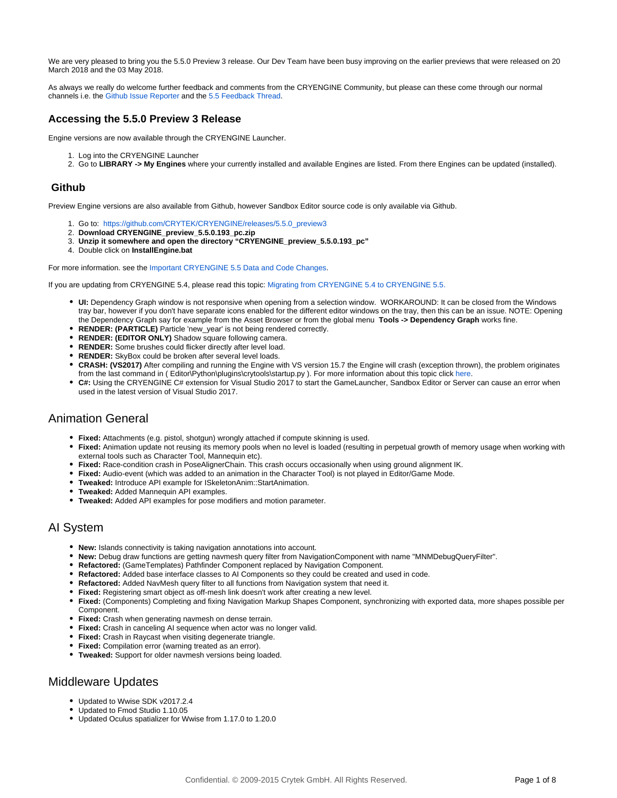We are very pleased to bring you the 5.5.0 Preview 3 release. Our Dev Team have been busy improving on the earlier previews that were released on 20 March 2018 and the 03 May 2018.

As always we really do welcome further feedback and comments from the CRYENGINE Community, but please can these come through our normal channels i.e. the [Github Issue Reporter](https://github.com/CRYTEK/CRYENGINE/issues) and the [5.5 Feedback Thread.](https://forum.cryengine.com/viewtopic.php?f=9&t=7485)

## **Accessing the 5.5.0 Preview 3 Release**

Engine versions are now available through the CRYENGINE Launcher.

- 1. Log into the CRYENGINE Launcher
- 2. Go to **LIBRARY -> My Engines** where your currently installed and available Engines are listed. From there Engines can be updated (installed).

#### **Github**

Preview Engine versions are also available from Github, however Sandbox Editor source code is only available via Github.

- 1. Go to: [https://github.com/CRYTEK/CRYENGINE/releases/5.5.0\\_preview3](https://github.com/CRYTEK/CRYENGINE/releases/5.5.0_preview3)
- 2. **Download CRYENGINE\_preview\_5.5.0.193\_pc.zip**
- 3. **Unzip it somewhere and open the directory "CRYENGINE\_preview\_5.5.0.193\_pc"**
- 4. Double click on **InstallEngine.bat**

For more information. see the [Important CRYENGINE 5.5 Data and Code Changes.](https://docs.cryengine.com/display/RN/Important+CRYENGINE+5.5+Data+and+Code+Changes)

If you are updating from CRYENGINE 5.4, please read this topic: [Migrating from CRYENGINE 5.4 to CRYENGINE 5.5](https://docs.cryengine.com/display/RN/Migrating+from+CRYENGINE+5.4+to+CRYENGINE+5.5)[.](http://docs.cryengine.com/pages/viewpage.action?pageId=29445533)

- **UI:** Dependency Graph window is not responsive when opening from a selection window. WORKAROUND: It can be closed from the Windows tray bar, however if you don't have separate icons enabled for the different editor windows on the tray, then this can be an issue. NOTE: Opening the Dependency Graph say for example from the Asset Browser or from the global menu **Tools -> Dependency Graph** works fine.
- **RENDER: (PARTICLE)** Particle 'new\_year' is not being rendered correctly.
- **RENDER: (EDITOR ONLY)** Shadow square following camera.
- **RENDER:** Some brushes could flicker directly after level load.
- **RENDER:** SkyBox could be broken after several level loads.
- **CRASH: (VS2017)** After compiling and running the Engine with VS version 15.7 the Engine will crash (exception thrown), the problem originates from the last command in ( Editor\Python\plugins\crytools\startup.py ). For more information about this topic click [here](https://forum.cryengine.com/viewtopic.php?f=4&t=10546).
- **C#:** Using the CRYENGINE C# extension for Visual Studio 2017 to start the GameLauncher, Sandbox Editor or Server can cause an error when used in the latest version of Visual Studio 2017.

# Animation General

- **Fixed:** Attachments (e.g. pistol, shotgun) wrongly attached if compute skinning is used.
- **Fixed:** Animation update not reusing its memory pools when no level is loaded (resulting in perpetual growth of memory usage when working with external tools such as Character Tool, Mannequin etc).
- **Fixed:** Race-condition crash in PoseAlignerChain. This crash occurs occasionally when using ground alignment IK.
- **Fixed:** Audio-event (which was added to an animation in the Character Tool) is not played in Editor/Game Mode.
- **Tweaked:** Introduce API example for ISkeletonAnim::StartAnimation.
- **Tweaked:** Added Mannequin API examples.
- **Tweaked:** Added API examples for pose modifiers and motion parameter.

## AI System

- **New:** Islands connectivity is taking navigation annotations into account.
- **New:** Debug draw functions are getting navmesh query filter from NavigationComponent with name "MNMDebugQueryFilter".
- **Refactored:** (GameTemplates) Pathfinder Component replaced by Navigation Component.
- **Refactored:** Added base interface classes to AI Components so they could be created and used in code.
- **Refactored:** Added NavMesh query filter to all functions from Navigation system that need it.
- **Fixed:** Registering smart object as off-mesh link doesn't work after creating a new level.
- **Fixed:** (Components) Completing and fixing Navigation Markup Shapes Component, synchronizing with exported data, more shapes possible per Component.
- **Fixed:** Crash when generating navmesh on dense terrain.
- **Fixed:** Crash in canceling AI sequence when actor was no longer valid.
- **Fixed:** Crash in Raycast when visiting degenerate triangle.
- **Fixed:** Compilation error (warning treated as an error).
- **Tweaked:** Support for older navmesh versions being loaded.

# Middleware Updates

- Updated to Wwise SDK v2017.2.4
- Updated to Fmod Studio 1.10.05
- Updated Oculus spatializer for Wwise from 1.17.0 to 1.20.0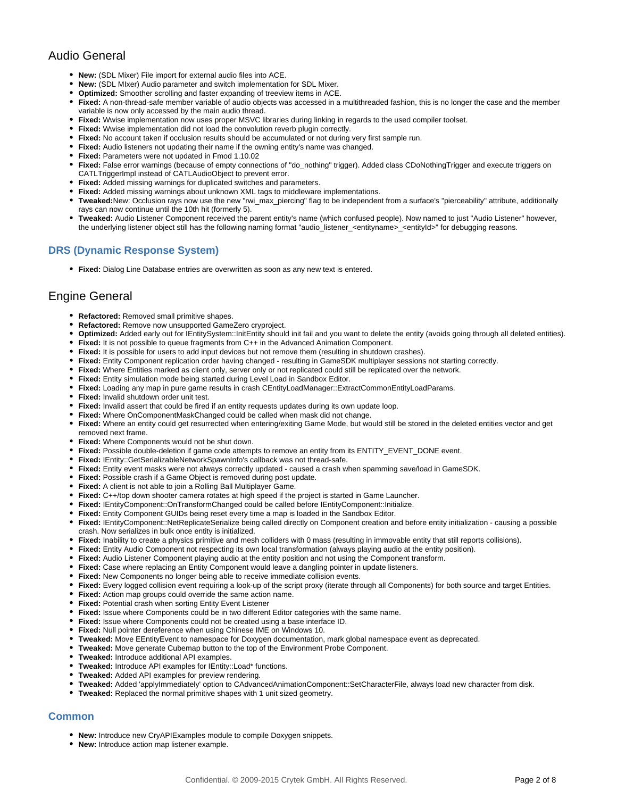# Audio General

- **New:** (SDL Mixer) File import for external audio files into ACE.
- **New:** (SDL MIxer) Audio parameter and switch implementation for SDL Mixer.
- **Optimized:** Smoother scrolling and faster expanding of treeview items in ACE.
- **Fixed:** A non-thread-safe member variable of audio objects was accessed in a multithreaded fashion, this is no longer the case and the member variable is now only accessed by the main audio thread.
- **Fixed:** Wwise implementation now uses proper MSVC libraries during linking in regards to the used compiler toolset.
- **Fixed:** Wwise implementation did not load the convolution reverb plugin correctly.
- Fixed: No account taken if occlusion results should be accumulated or not during very first sample run.
- **Fixed:** Audio listeners not updating their name if the owning entity's name was changed.
- **Fixed:** Parameters were not updated in Fmod 1.10.02
- **Fixed:** False error warnings (because of empty connections of "do\_nothing" trigger). Added class CDoNothingTrigger and execute triggers on CATLTriggerImpl instead of CATLAudioObject to prevent error.
- **Fixed:** Added missing warnings for duplicated switches and parameters.
- **Fixed:** Added missing warnings about unknown XML tags to middleware implementations.
- **Tweaked:**New: Occlusion rays now use the new "rwi\_max\_piercing" flag to be independent from a surface's "pierceability" attribute, additionally rays can now continue until the 10th hit (formerly 5).
- **Tweaked:** Audio Listener Component received the parent entity's name (which confused people). Now named to just "Audio Listener" however, the underlying listener object still has the following naming format "audio\_listener\_<entityname>\_<entityId>" for debugging reasons.

#### **DRS (Dynamic Response System)**

**Fixed:** Dialog Line Database entries are overwritten as soon as any new text is entered.

## Engine General

- **Refactored:** Removed small primitive shapes.
- **Refactored:** Remove now unsupported GameZero cryproject.
- **Optimized:** Added early out for IEntitySystem::InitEntity should init fail and you want to delete the entity (avoids going through all deleted entities).
- **Fixed:** It is not possible to queue fragments from C++ in the Advanced Animation Component.
- **Fixed:** It is possible for users to add input devices but not remove them (resulting in shutdown crashes).
- **Fixed:** Entity Component replication order having changed resulting in GameSDK multiplayer sessions not starting correctly.
- **Fixed:** Where Entities marked as client only, server only or not replicated could still be replicated over the network.
- **Fixed:** Entity simulation mode being started during Level Load in Sandbox Editor.
- **Fixed:** Loading any map in pure game results in crash CEntityLoadManager::ExtractCommonEntityLoadParams.
- **Fixed:** Invalid shutdown order unit test.
- **Fixed:** Invalid assert that could be fired if an entity requests updates during its own update loop.
- **Fixed:** Where OnComponentMaskChanged could be called when mask did not change.
- **Fixed:** Where an entity could get resurrected when entering/exiting Game Mode, but would still be stored in the deleted entities vector and get removed next frame.
- **Fixed:** Where Components would not be shut down.
- **Fixed:** Possible double-deletion if game code attempts to remove an entity from its ENTITY\_EVENT\_DONE event.
- **Fixed:** IEntity::GetSerializableNetworkSpawnInfo's callback was not thread-safe.
- **Fixed:** Entity event masks were not always correctly updated caused a crash when spamming save/load in GameSDK.
- **Fixed:** Possible crash if a Game Object is removed during post update.
- **Fixed:** A client is not able to join a Rolling Ball Multiplayer Game.
- **Fixed:** C++/top down shooter camera rotates at high speed if the project is started in Game Launcher.
- **Fixed:** IEntityComponent::OnTransformChanged could be called before IEntityComponent::Initialize.
- **Fixed:** Entity Component GUIDs being reset every time a map is loaded in the Sandbox Editor.
- **Fixed:** IEntityComponent::NetReplicateSerialize being called directly on Component creation and before entity initialization causing a possible crash. Now serializes in bulk once entity is initialized.
- **Fixed:** Inability to create a physics primitive and mesh colliders with 0 mass (resulting in immovable entity that still reports collisions).
- **Fixed:** Entity Audio Component not respecting its own local transformation (always playing audio at the entity position).
- **Fixed:** Audio Listener Component playing audio at the entity position and not using the Component transform.
- Fixed: Case where replacing an Entity Component would leave a dangling pointer in update listeners.
- **Fixed:** New Components no longer being able to receive immediate collision events.
- **Fixed:** Every logged collision event requiring a look-up of the script proxy (iterate through all Components) for both source and target Entities.
- **Fixed:** Action map groups could override the same action name.
- **Fixed:** Potential crash when sorting Entity Event Listener
- **Fixed:** Issue where Components could be in two different Editor categories with the same name.
- **Fixed:** Issue where Components could not be created using a base interface ID.
- $\bullet$ **Fixed:** Null pointer dereference when using Chinese IME on Windows 10.
- **Tweaked:** Move EEntityEvent to namespace for Doxygen documentation, mark global namespace event as deprecated.
- **Tweaked:** Move generate Cubemap button to the top of the Environment Probe Component.
- **Tweaked:** Introduce additional API examples.
- **Tweaked:** Introduce API examples for IEntity::Load\* functions.
- **Tweaked:** Added API examples for preview rendering.
- **Tweaked:** Added 'applyImmediately' option to CAdvancedAnimationComponent::SetCharacterFile, always load new character from disk.
- **Tweaked:** Replaced the normal primitive shapes with 1 unit sized geometry.

## **Common**

- **New:** Introduce new CryAPIExamples module to compile Doxygen snippets.
- **New:** Introduce action map listener example.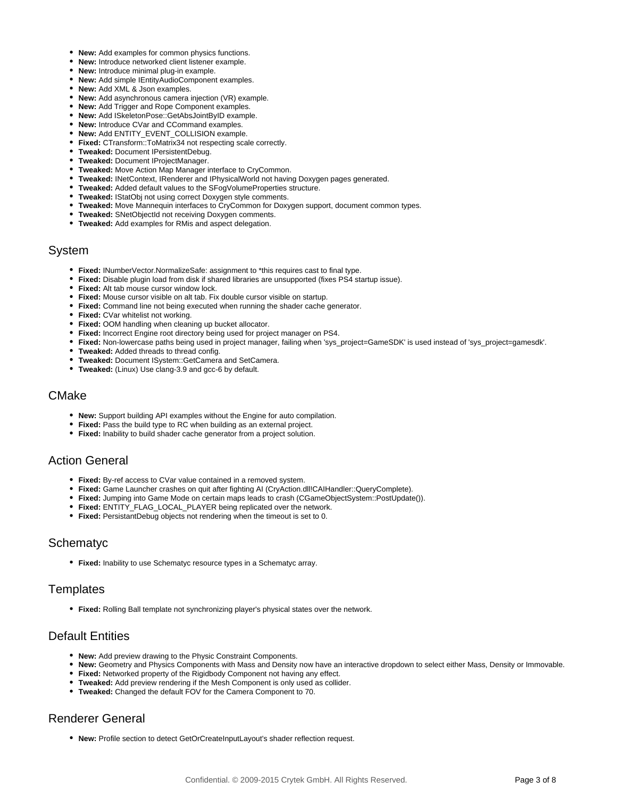- **New:** Add examples for common physics functions.
- **New:** Introduce networked client listener example.
- **New:** Introduce minimal plug-in example.
- **New:** Add simple IEntityAudioComponent examples.
- **New:** Add XML & Json examples.
- **New:** Add asynchronous camera injection (VR) example.
- **New:** Add Trigger and Rope Component examples.
- **New:** Add ISkeletonPose::GetAbsJointByID example.
- **New:** Introduce CVar and CCommand examples.
- **New:** Add ENTITY\_EVENT\_COLLISION example.
- **Fixed:** CTransform::ToMatrix34 not respecting scale correctly.
- **Tweaked:** Document IPersistentDebug.
- **Tweaked:** Document IProjectManager.
- **Tweaked:** Move Action Map Manager interface to CryCommon.
- **Tweaked:** INetContext, IRenderer and IPhysicalWorld not having Doxygen pages generated.
- **Tweaked:** Added default values to the SFogVolumeProperties structure.
- **Tweaked:** IStatObj not using correct Doxygen style comments.
- **Tweaked:** Move Mannequin interfaces to CryCommon for Doxygen support, document common types.
- **Tweaked:** SNetObjectId not receiving Doxygen comments.
- **Tweaked:** Add examples for RMis and aspect delegation.

#### System

- **Fixed:** INumberVector.NormalizeSafe: assignment to \*this requires cast to final type.
- **Fixed:** Disable plugin load from disk if shared libraries are unsupported (fixes PS4 startup issue).
- **Fixed:** Alt tab mouse cursor window lock.
- **Fixed:** Mouse cursor visible on alt tab. Fix double cursor visible on startup.
- **Fixed:** Command line not being executed when running the shader cache generator.
- **Fixed:** CVar whitelist not working.
- **Fixed:** OOM handling when cleaning up bucket allocator.
- **Fixed:** Incorrect Engine root directory being used for project manager on PS4.
- **Fixed:** Non-lowercase paths being used in project manager, failing when 'sys\_project=GameSDK' is used instead of 'sys\_project=gamesdk'.
- **Tweaked:** Added threads to thread config.
- **Tweaked:** Document ISystem::GetCamera and SetCamera.
- **Tweaked:** (Linux) Use clang-3.9 and gcc-6 by default.

#### CMake

- **New:** Support building API examples without the Engine for auto compilation.
- **Fixed:** Pass the build type to RC when building as an external project.
- **Fixed:** Inability to build shader cache generator from a project solution.

## Action General

- **Fixed:** By-ref access to CVar value contained in a removed system.
- **Fixed:** Game Launcher crashes on quit after fighting AI (CryAction.dll!CAIHandler::QueryComplete).
- **Fixed:** Jumping into Game Mode on certain maps leads to crash (CGameObjectSystem::PostUpdate()).
- **Fixed:** ENTITY\_FLAG\_LOCAL\_PLAYER being replicated over the network.
- **Fixed:** PersistantDebug objects not rendering when the timeout is set to 0.

#### Schematyc

**Fixed:** Inability to use Schematyc resource types in a Schematyc array.

## Templates

**Fixed:** Rolling Ball template not synchronizing player's physical states over the network.

## Default Entities

- **New:** Add preview drawing to the Physic Constraint Components.
- **New:** Geometry and Physics Components with Mass and Density now have an interactive dropdown to select either Mass, Density or Immovable.
- **Fixed:** Networked property of the Rigidbody Component not having any effect.
- **Tweaked:** Add preview rendering if the Mesh Component is only used as collider.
- **Tweaked:** Changed the default FOV for the Camera Component to 70.

# Renderer General

**New:** Profile section to detect GetOrCreateInputLayout's shader reflection request.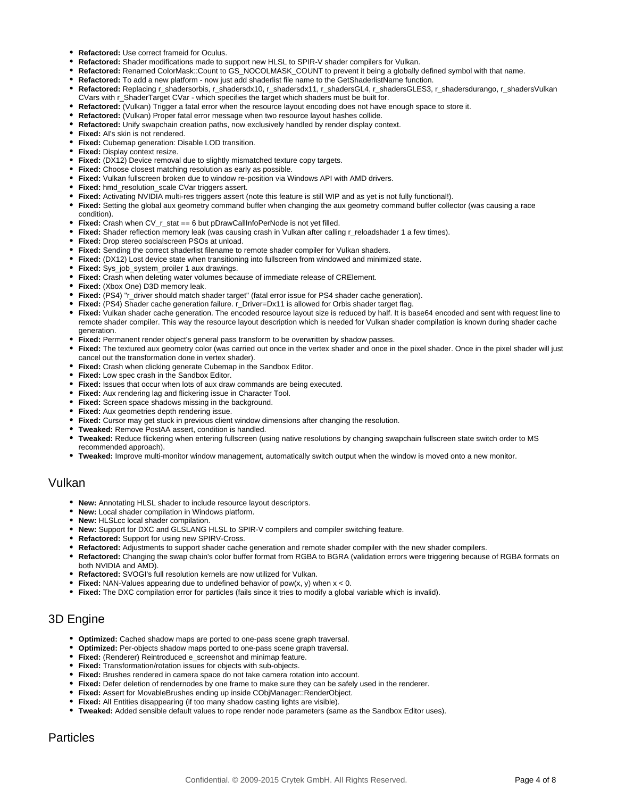- **Refactored:** Use correct frameid for Oculus.
- **Refactored:** Shader modifications made to support new HLSL to SPIR-V shader compilers for Vulkan.
- **Refactored:** Renamed ColorMask::Count to GS\_NOCOLMASK\_COUNT to prevent it being a globally defined symbol with that name.
- **Refactored:** To add a new platform now just add shaderlist file name to the GetShaderlistName function.
- **Refactored:** Replacing r\_shadersorbis, r\_shadersdx10, r\_shadersdx11, r\_shadersGL4, r\_shadersGLES3, r\_shadersdurango, r\_shadersVulkan CVars with r\_ShaderTarget CVar - which specifies the target which shaders must be built for.
- **Refactored:** (Vulkan) Trigger a fatal error when the resource layout encoding does not have enough space to store it.
- **Refactored:** (Vulkan) Proper fatal error message when two resource layout hashes collide.
- **Refactored:** Unify swapchain creation paths, now exclusively handled by render display context.
- **Fixed:** AI's skin is not rendered.
- **Fixed:** Cubemap generation: Disable LOD transition.
- **Fixed:** Display context resize.
- **Fixed:** (DX12) Device removal due to slightly mismatched texture copy targets.
- **Fixed:** Choose closest matching resolution as early as possible.
- **Fixed:** Vulkan fullscreen broken due to window re-position via Windows API with AMD drivers.
- **Fixed:** hmd\_resolution\_scale CVar triggers assert.
- **Fixed:** Activating NVIDIA multi-res triggers assert (note this feature is still WIP and as yet is not fully functional!).
- **Fixed:** Setting the global aux geometry command buffer when changing the aux geometry command buffer collector (was causing a race condition).
- **Fixed:** Crash when CV\_r\_stat == 6 but pDrawCallInfoPerNode is not yet filled.
- **Fixed:** Shader reflection memory leak (was causing crash in Vulkan after calling r\_reloadshader 1 a few times).
- **Fixed:** Drop stereo socialscreen PSOs at unload.
- **Fixed:** Sending the correct shaderlist filename to remote shader compiler for Vulkan shaders.
- **Fixed:** (DX12) Lost device state when transitioning into fullscreen from windowed and minimized state.
- **Fixed:** Sys\_job\_system\_proiler 1 aux drawings.
- **Fixed:** Crash when deleting water volumes because of immediate release of CRElement.
- **Fixed:** (Xbox One) D3D memory leak.
- **Fixed:** (PS4) "r\_driver should match shader target" (fatal error issue for PS4 shader cache generation).
- **Fixed:** (PS4) Shader cache generation failure. r\_Driver=Dx11 is allowed for Orbis shader target flag.
- **Fixed:** Vulkan shader cache generation. The encoded resource layout size is reduced by half. It is base64 encoded and sent with request line to remote shader compiler. This way the resource layout description which is needed for Vulkan shader compilation is known during shader cache generation.
- **Fixed:** Permanent render object's general pass transform to be overwritten by shadow passes.
- **Fixed:** The textured aux geometry color (was carried out once in the vertex shader and once in the pixel shader. Once in the pixel shader will just cancel out the transformation done in vertex shader).
- **Fixed:** Crash when clicking generate Cubemap in the Sandbox Editor.
- **Fixed:** Low spec crash in the Sandbox Editor.
- **Fixed:** Issues that occur when lots of aux draw commands are being executed.
- **Fixed:** Aux rendering lag and flickering issue in Character Tool.
- **Fixed:** Screen space shadows missing in the background.
- **Fixed:** Aux geometries depth rendering issue.
- **Fixed:** Cursor may get stuck in previous client window dimensions after changing the resolution.
- **Tweaked:** Remove PostAA assert, condition is handled.
- **Tweaked:** Reduce flickering when entering fullscreen (using native resolutions by changing swapchain fullscreen state switch order to MS recommended approach).
- **Tweaked:** Improve multi-monitor window management, automatically switch output when the window is moved onto a new monitor.

#### Vulkan

- **New:** Annotating HLSL shader to include resource layout descriptors.
- **New:** Local shader compilation in Windows platform.
- **New:** HLSLcc local shader compilation.
- **New:** Support for DXC and GLSLANG HLSL to SPIR-V compilers and compiler switching feature.
- **Refactored:** Support for using new SPIRV-Cross.
- **Refactored:** Adjustments to support shader cache generation and remote shader compiler with the new shader compilers.
- **Refactored:** Changing the swap chain's color buffer format from RGBA to BGRA (validation errors were triggering because of RGBA formats on both NVIDIA and AMD).
- **Refactored:** SVOGI's full resolution kernels are now utilized for Vulkan.
- **Fixed:** NAN-Values appearing due to undefined behavior of pow(x, y) when x < 0.
- **Fixed:** The DXC compilation error for particles (fails since it tries to modify a global variable which is invalid).

## 3D Engine

- **Optimized:** Cached shadow maps are ported to one-pass scene graph traversal.
- **Optimized:** Per-objects shadow maps ported to one-pass scene graph traversal.
- **Fixed:** (Renderer) Reintroduced e\_screenshot and minimap feature.
- **Fixed:** Transformation/rotation issues for objects with sub-objects.
- **Fixed:** Brushes rendered in camera space do not take camera rotation into account.
- **Fixed:** Defer deletion of rendernodes by one frame to make sure they can be safely used in the renderer.
- **Fixed:** Assert for MovableBrushes ending up inside CObjManager::RenderObject.
- **Fixed:** All Entities disappearing (if too many shadow casting lights are visible).
- **Tweaked:** Added sensible default values to rope render node parameters (same as the Sandbox Editor uses).

## Particles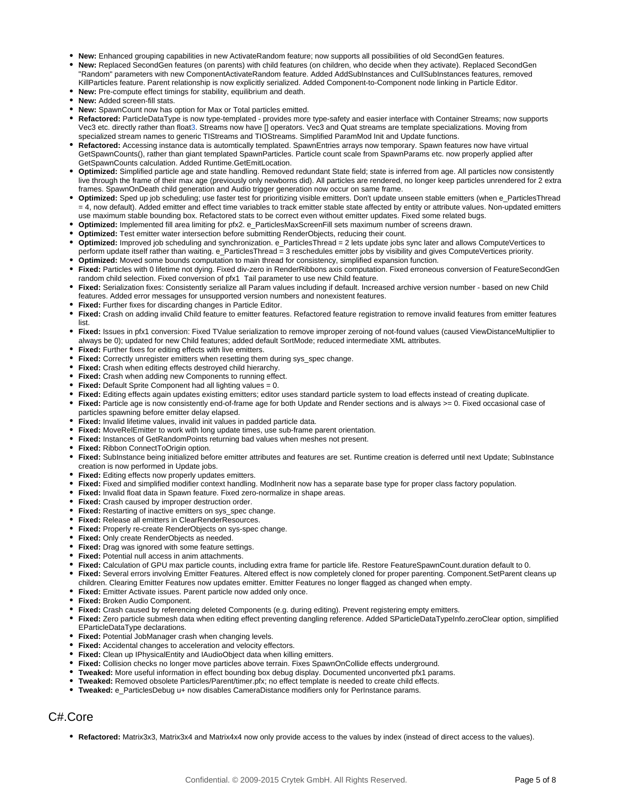- **New:** Enhanced grouping capabilities in new ActivateRandom feature; now supports all possibilities of old SecondGen features.
- **New:** Replaced SecondGen features (on parents) with child features (on children, who decide when they activate). Replaced SecondGen "Random" parameters with new ComponentActivateRandom feature. Added AddSubInstances and CullSubInstances features, removed KillParticles feature. Parent relationship is now explicitly serialized. Added Component-to-Component node linking in Particle Editor.
- **New:** Pre-compute effect timings for stability, equilibrium and death.
- **New:** Added screen-fill stats.
- **New:** SpawnCount now has option for Max or Total particles emitted.
- **Refactored:** ParticleDataType is now type-templated provides more type-safety and easier interface with Container Streams; now supports Vec3 etc. directly rather than float3. Streams now have [] operators. Vec3 and Quat streams are template specializations. Moving from specialized stream names to generic TIStreams and TIOStreams. Simplified ParamMod Init and Update functions.
- **Refactored:** Accessing instance data is automtically templated. SpawnEntries arrays now temporary. Spawn features now have virtual GetSpawnCounts(), rather than giant templated SpawnParticles. Particle count scale from SpawnParams etc. now properly applied after GetSpawnCounts calculation. Added Runtime.GetEmitLocation.
- **Optimized:** Simplified particle age and state handling. Removed redundant State field; state is inferred from age. All particles now consistently live through the frame of their max age (previously only newborns did). All particles are rendered, no longer keep particles unrendered for 2 extra frames. SpawnOnDeath child generation and Audio trigger generation now occur on same frame.
- **Optimized:** Sped up job scheduling; use faster test for prioritizing visible emitters. Don't update unseen stable emitters (when e\_ParticlesThread = 4, now default). Added emitter and effect time variables to track emitter stable state affected by entity or attribute values. Non-updated emitters use maximum stable bounding box. Refactored stats to be correct even without emitter updates. Fixed some related bugs.
- **Optimized:** Implemented fill area limiting for pfx2. e\_ParticlesMaxScreenFill sets maximum number of screens drawn.
- **Optimized:** Test emitter water intersection before submitting RenderObjects, reducing their count.
- **Optimized:** Improved job scheduling and synchronization. e\_ParticlesThread = 2 lets update jobs sync later and allows ComputeVertices to perform update itself rather than waiting. e\_ParticlesThread = 3 reschedules emitter jobs by visibility and gives ComputeVertices priority.
- **Optimized:** Moved some bounds computation to main thread for consistency, simplified expansion function.
- **Fixed:** Particles with 0 lifetime not dying. Fixed div-zero in RenderRibbons axis computation. Fixed erroneous conversion of FeatureSecondGen random child selection. Fixed conversion of pfx1 Tail parameter to use new Child feature.
- **Fixed:** Serialization fixes: Consistently serialize all Param values including if default. Increased archive version number based on new Child features. Added error messages for unsupported version numbers and nonexistent features.
- **Fixed:** Further fixes for discarding changes in Particle Editor.
- **Fixed:** Crash on adding invalid Child feature to emitter features. Refactored feature registration to remove invalid features from emitter features list.
- **Fixed:** Issues in pfx1 conversion: Fixed TValue serialization to remove improper zeroing of not-found values (caused ViewDistanceMultiplier to always be 0); updated for new Child features; added default SortMode; reduced intermediate XML attributes.
- **Fixed:** Further fixes for editing effects with live emitters.
- **Fixed:** Correctly unregister emitters when resetting them during sys\_spec change.
- **Fixed:** Crash when editing effects destroyed child hierarchy.
- **Fixed:** Crash when adding new Components to running effect.
- **Fixed:** Default Sprite Component had all lighting values = 0.
- **Fixed:** Editing effects again updates existing emitters; editor uses standard particle system to load effects instead of creating duplicate.
- **Fixed:** Particle age is now consistently end-of-frame age for both Update and Render sections and is always >= 0. Fixed occasional case of particles spawning before emitter delay elapsed.
- **Fixed:** Invalid lifetime values, invalid init values in padded particle data.
- **Fixed:** MoveRelEmitter to work with long update times, use sub-frame parent orientation.
- **Fixed:** Instances of GetRandomPoints returning bad values when meshes not present.
- **Fixed:** Ribbon ConnectToOrigin option.
- **Fixed:** SubInstance being initialized before emitter attributes and features are set. Runtime creation is deferred until next Update; SubInstance  $\bullet$ creation is now performed in Update jobs.
- **Fixed:** Editing effects now properly updates emitters.
- Fixed: Fixed and simplified modifier context handling. ModInherit now has a separate base type for proper class factory population.
- **Fixed:** Invalid float data in Spawn feature. Fixed zero-normalize in shape areas.
- **Fixed:** Crash caused by improper destruction order.
- **Fixed:** Restarting of inactive emitters on sys\_spec change.
- **Fixed:** Release all emitters in ClearRenderResources.
- **Fixed:** Properly re-create RenderObjects on sys-spec change.
- **Fixed:** Only create RenderObjects as needed.
- **Fixed:** Drag was ignored with some feature settings.
- **Fixed:** Potential null access in anim attachments.
- **Fixed:** Calculation of GPU max particle counts, including extra frame for particle life. Restore FeatureSpawnCount.duration default to 0.
- **Fixed:** Several errors involving Emitter Features. Altered effect is now completely cloned for proper parenting. Component.SetParent cleans up children. Clearing Emitter Features now updates emitter. Emitter Features no longer flagged as changed when empty.
- **Fixed:** Emitter Activate issues. Parent particle now added only once.
- **Fixed:** Broken Audio Component.
- **Fixed:** Crash caused by referencing deleted Components (e.g. during editing). Prevent registering empty emitters.
- **Fixed:** Zero particle submesh data when editing effect preventing dangling reference. Added SParticleDataTypeInfo.zeroClear option, simplified EParticleDataType declarations.
- **Fixed:** Potential JobManager crash when changing levels.
- **Fixed:** Accidental changes to acceleration and velocity effectors.
- **Fixed:** Clean up IPhysicalEntity and IAudioObject data when killing emitters.
- **Fixed:** Collision checks no longer move particles above terrain. Fixes SpawnOnCollide effects underground.
- **Tweaked:** More useful information in effect bounding box debug display. Documented unconverted pfx1 params.
- **Tweaked:** Removed obsolete Particles/Parent/timer.pfx; no effect template is needed to create child effects.
- **Tweaked:** e\_ParticlesDebug u+ now disables CameraDistance modifiers only for PerInstance params.

## C#.Core

**Refactored:** Matrix3x3, Matrix3x4 and Matrix4x4 now only provide access to the values by index (instead of direct access to the values).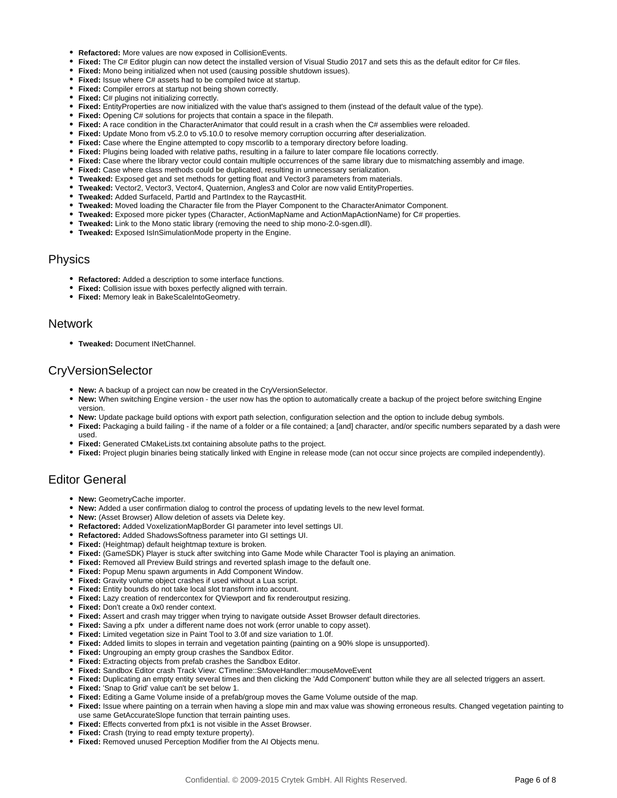- **Refactored:** More values are now exposed in CollisionEvents.
- **Fixed:** The C# Editor plugin can now detect the installed version of Visual Studio 2017 and sets this as the default editor for C# files.
- **Fixed:** Mono being initialized when not used (causing possible shutdown issues).
- **Fixed:** Issue where C# assets had to be compiled twice at startup.
- **Fixed:** Compiler errors at startup not being shown correctly.
- **Fixed:** C# plugins not initializing correctly.
- **Fixed:** EntityProperties are now initialized with the value that's assigned to them (instead of the default value of the type).
- **Fixed:** Opening C# solutions for projects that contain a space in the filepath.
- **Fixed:** A race condition in the CharacterAnimator that could result in a crash when the C# assemblies were reloaded.
- **Fixed:** Update Mono from v5.2.0 to v5.10.0 to resolve memory corruption occurring after deserialization.
- **Fixed:** Case where the Engine attempted to copy mscorlib to a temporary directory before loading.
- **Fixed:** Plugins being loaded with relative paths, resulting in a failure to later compare file locations correctly.
- **Fixed:** Case where the library vector could contain multiple occurrences of the same library due to mismatching assembly and image.
- **Fixed:** Case where class methods could be duplicated, resulting in unnecessary serialization.
- **Tweaked:** Exposed get and set methods for getting float and Vector3 parameters from materials.
- **Tweaked:** Vector2, Vector3, Vector4, Quaternion, Angles3 and Color are now valid EntityProperties.
- Tweaked: Added SurfaceId, PartId and PartIndex to the RaycastHit.
- **Tweaked:** Moved loading the Character file from the Player Component to the CharacterAnimator Component.
- **Tweaked:** Exposed more picker types (Character, ActionMapName and ActionMapActionName) for C# properties.
- **Tweaked:** Link to the Mono static library (removing the need to ship mono-2.0-sgen.dll).
- **Tweaked:** Exposed IsInSimulationMode property in the Engine.

#### Physics

- **Refactored:** Added a description to some interface functions.
- **Fixed:** Collision issue with boxes perfectly aligned with terrain.
- **Fixed:** Memory leak in BakeScaleIntoGeometry.

#### Network

**Tweaked:** Document INetChannel.

## CryVersionSelector

- **New:** A backup of a project can now be created in the CryVersionSelector.
- **New:** When switching Engine version the user now has the option to automatically create a backup of the project before switching Engine version.
- **New:** Update package build options with export path selection, configuration selection and the option to include debug symbols.
- **Fixed:** Packaging a build failing if the name of a folder or a file contained; a [and] character, and/or specific numbers separated by a dash were used.
- **Fixed:** Generated CMakeLists.txt containing absolute paths to the project.
- **Fixed:** Project plugin binaries being statically linked with Engine in release mode (can not occur since projects are compiled independently).

# Editor General

- **New:** GeometryCache importer.
- **New:** Added a user confirmation dialog to control the process of updating levels to the new level format.
- **New:** (Asset Browser) Allow deletion of assets via Delete key.
- **Refactored:** Added VoxelizationMapBorder GI parameter into level settings UI.
- **Refactored:** Added ShadowsSoftness parameter into GI settings UI.
- **Fixed:** (Heightmap) default heightmap texture is broken.
- **Fixed:** (GameSDK) Player is stuck after switching into Game Mode while Character Tool is playing an animation.
- **Fixed:** Removed all Preview Build strings and reverted splash image to the default one.
- **Fixed:** Popup Menu spawn arguments in Add Component Window.
- **Fixed:** Gravity volume object crashes if used without a Lua script.
- **Fixed:** Entity bounds do not take local slot transform into account.
- **Fixed:** Lazy creation of rendercontex for QViewport and fix renderoutput resizing.
- **Fixed:** Don't create a 0x0 render context.
- **Fixed:** Assert and crash may trigger when trying to navigate outside Asset Browser default directories.
- **Fixed:** Saving a pfx under a different name does not work (error unable to copy asset).
- **Fixed:** Limited vegetation size in Paint Tool to 3.0f and size variation to 1.0f.
- **Fixed:** Added limits to slopes in terrain and vegetation painting (painting on a 90% slope is unsupported).
- **Fixed:** Ungrouping an empty group crashes the Sandbox Editor.
- **Fixed:** Extracting objects from prefab crashes the Sandbox Editor.
- **Fixed:** Sandbox Editor crash Track View: CTimeline::SMoveHandler::mouseMoveEvent
- **Fixed:** Duplicating an empty entity several times and then clicking the 'Add Component' button while they are all selected triggers an assert.
- **Fixed:** 'Snap to Grid' value can't be set below 1.
- **Fixed:** Editing a Game Volume inside of a prefab/group moves the Game Volume outside of the map.
- **Fixed:** Issue where painting on a terrain when having a slope min and max value was showing erroneous results. Changed vegetation painting to use same GetAccurateSlope function that terrain painting uses.
- **Fixed:** Effects converted from pfx1 is not visible in the Asset Browser.
- **Fixed:** Crash (trying to read empty texture property).
- **Fixed:** Removed unused Perception Modifier from the AI Objects menu.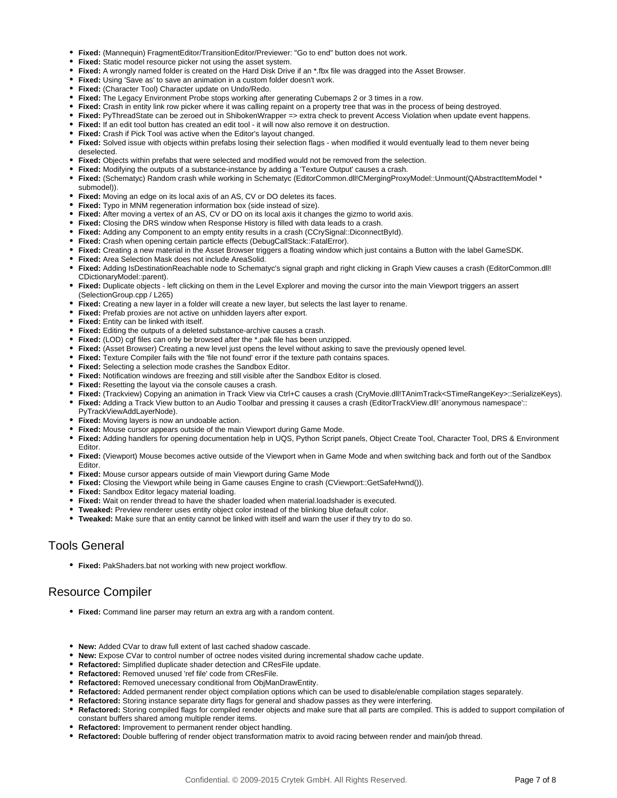- **Fixed:** (Mannequin) FragmentEditor/TransitionEditor/Previewer: "Go to end" button does not work.
- **Fixed:** Static model resource picker not using the asset system.
- **Fixed:** A wrongly named folder is created on the Hard Disk Drive if an \*.fbx file was dragged into the Asset Browser.
- **Fixed:** Using 'Save as' to save an animation in a custom folder doesn't work.
- **Fixed:** (Character Tool) Character update on Undo/Redo.
- **Fixed:** The Legacy Environment Probe stops working after generating Cubemaps 2 or 3 times in a row.
- **Fixed:** Crash in entity link row picker where it was calling repaint on a property tree that was in the process of being destroyed.
- **Fixed:** PyThreadState can be zeroed out in ShibokenWrapper => extra check to prevent Access Violation when update event happens.
- **Fixed:** If an edit tool button has created an edit tool it will now also remove it on destruction.
- **Fixed:** Crash if Pick Tool was active when the Editor's layout changed.
- **Fixed:** Solved issue with objects within prefabs losing their selection flags when modified it would eventually lead to them never being deselected.
- **Fixed:** Objects within prefabs that were selected and modified would not be removed from the selection.
- **Fixed:** Modifying the outputs of a substance-instance by adding a 'Texture Output' causes a crash.
- **Fixed:** (Schematyc) Random crash while working in Schematyc (EditorCommon.dll!CMergingProxyModel::Unmount(QAbstractItemModel \* submodel)).
- **Fixed:** Moving an edge on its local axis of an AS, CV or DO deletes its faces.
- **Fixed:** Typo in MNM regeneration information box (side instead of size).
- **Fixed:** After moving a vertex of an AS, CV or DO on its local axis it changes the gizmo to world axis.
- **Fixed:** Closing the DRS window when Response History is filled with data leads to a crash.
- **Fixed:** Adding any Component to an empty entity results in a crash (CCrySignal::DiconnectById).
- **Fixed:** Crash when opening certain particle effects (DebugCallStack::FatalError).
- **Fixed:** Creating a new material in the Asset Browser triggers a floating window which just contains a Button with the label GameSDK.
- **Fixed:** Area Selection Mask does not include AreaSolid.
- **Fixed:** Adding IsDestinationReachable node to Schematyc's signal graph and right clicking in Graph View causes a crash (EditorCommon.dll! CDictionaryModel::parent).
- **Fixed:** Duplicate objects left clicking on them in the Level Explorer and moving the cursor into the main Viewport triggers an assert (SelectionGroup.cpp / L265)
- Fixed: Creating a new layer in a folder will create a new layer, but selects the last layer to rename.
- **Fixed:** Prefab proxies are not active on unhidden layers after export.
- **Fixed:** Entity can be linked with itself.
- **Fixed:** Editing the outputs of a deleted substance-archive causes a crash.
- **Fixed:** (LOD) cgf files can only be browsed after the \*.pak file has been unzipped.
- **Fixed:** (Asset Browser) Creating a new level just opens the level without asking to save the previously opened level.
- **Fixed:** Texture Compiler fails with the 'file not found' error if the texture path contains spaces.
- **Fixed:** Selecting a selection mode crashes the Sandbox Editor.
- **Fixed:** Notification windows are freezing and still visible after the Sandbox Editor is closed.
- **Fixed:** Resetting the layout via the console causes a crash.
- Fixed: (Trackview) Copying an animation in Track View via Ctrl+C causes a crash (CryMovie.dll!TAnimTrack<STimeRangeKey>::SerializeKeys).
- **Fixed:** Adding a Track View button to an Audio Toolbar and pressing it causes a crash (EditorTrackView.dll!`anonymous namespace':: PyTrackViewAddLayerNode).
- **Fixed:** Moving layers is now an undoable action.
- **Fixed:** Mouse cursor appears outside of the main Viewport during Game Mode.
- **Fixed:** Adding handlers for opening documentation help in UQS, Python Script panels, Object Create Tool, Character Tool, DRS & Environment Editor.
- **Fixed:** (Viewport) Mouse becomes active outside of the Viewport when in Game Mode and when switching back and forth out of the Sandbox Editor.
- **Fixed:** Mouse cursor appears outside of main Viewport during Game Mode
- **Fixed:** Closing the Viewport while being in Game causes Engine to crash (CViewport::GetSafeHwnd()).
- **Fixed:** Sandbox Editor legacy material loading.
- **Fixed:** Wait on render thread to have the shader loaded when material.loadshader is executed.
- **Tweaked:** Preview renderer uses entity object color instead of the blinking blue default color.
- **Tweaked:** Make sure that an entity cannot be linked with itself and warn the user if they try to do so.

# Tools General

**Fixed:** PakShaders.bat not working with new project workflow.

# Resource Compiler

- **Fixed:** Command line parser may return an extra arg with a random content.
- **New:** Added CVar to draw full extent of last cached shadow cascade.
- **New:** Expose CVar to control number of octree nodes visited during incremental shadow cache update.
- **Refactored:** Simplified duplicate shader detection and CResFile update.
- **Refactored:** Removed unused 'ref file' code from CResFile.
- **Refactored:** Removed unecessary conditional from ObjManDrawEntity.
- **Refactored:** Added permanent render object compilation options which can be used to disable/enable compilation stages separately.
- **Refactored:** Storing instance separate dirty flags for general and shadow passes as they were interfering.
- **Refactored:** Storing compiled flags for compiled render objects and make sure that all parts are compiled. This is added to support compilation of constant buffers shared among multiple render items.
- **Refactored:** Improvement to permanent render object handling.
- **Refactored:** Double buffering of render object transformation matrix to avoid racing between render and main/job thread.